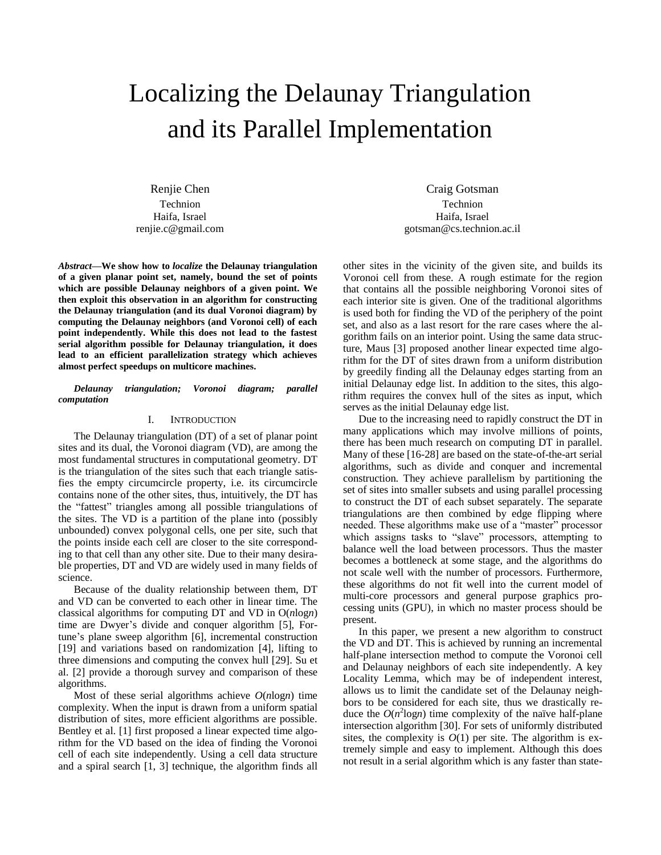# Localizing the Delaunay Triangulation and its Parallel Implementation

Renjie Chen Technion Haifa, Israel renjie.c@gmail.com

*Abstract***—We show how to** *localize* **the Delaunay triangulation of a given planar point set, namely, bound the set of points which are possible Delaunay neighbors of a given point. We then exploit this observation in an algorithm for constructing the Delaunay triangulation (and its dual Voronoi diagram) by computing the Delaunay neighbors (and Voronoi cell) of each point independently. While this does not lead to the fastest serial algorithm possible for Delaunay triangulation, it does lead to an efficient parallelization strategy which achieves almost perfect speedups on multicore machines.**

## *Delaunay triangulation; Voronoi diagram; parallel computation*

# I. INTRODUCTION

The Delaunay triangulation (DT) of a set of planar point sites and its dual, the Voronoi diagram (VD), are among the most fundamental structures in computational geometry. DT is the triangulation of the sites such that each triangle satisfies the empty circumcircle property, i.e. its circumcircle contains none of the other sites, thus, intuitively, the DT has the "fattest" triangles among all possible triangulations of the sites. The VD is a partition of the plane into (possibly unbounded) convex polygonal cells, one per site, such that the points inside each cell are closer to the site corresponding to that cell than any other site. Due to their many desirable properties, DT and VD are widely used in many fields of science.

Because of the duality relationship between them, DT and VD can be converted to each other in linear time. The classical algorithms for computing DT and VD in O(*n*log*n*) time are Dwyer's divide and conquer algorithm [5], Fortune's plane sweep algorithm [6], incremental construction [19] and variations based on randomization [4], lifting to three dimensions and computing the convex hull [29]. Su et al. [2] provide a thorough survey and comparison of these algorithms.

Most of these serial algorithms achieve  $O(n \log n)$  time complexity. When the input is drawn from a uniform spatial distribution of sites, more efficient algorithms are possible. Bentley et al. [1] first proposed a linear expected time algorithm for the VD based on the idea of finding the Voronoi cell of each site independently. Using a cell data structure and a spiral search [1, 3] technique, the algorithm finds all

Craig Gotsman Technion Haifa, Israel gotsman@cs.technion.ac.il

other sites in the vicinity of the given site, and builds its Voronoi cell from these. A rough estimate for the region that contains all the possible neighboring Voronoi sites of each interior site is given. One of the traditional algorithms is used both for finding the VD of the periphery of the point set, and also as a last resort for the rare cases where the algorithm fails on an interior point. Using the same data structure, Maus [3] proposed another linear expected time algorithm for the DT of sites drawn from a uniform distribution by greedily finding all the Delaunay edges starting from an initial Delaunay edge list. In addition to the sites, this algorithm requires the convex hull of the sites as input, which serves as the initial Delaunay edge list.

Due to the increasing need to rapidly construct the DT in many applications which may involve millions of points, there has been much research on computing DT in parallel. Many of these [16-28] are based on the state-of-the-art serial algorithms, such as divide and conquer and incremental construction. They achieve parallelism by partitioning the set of sites into smaller subsets and using parallel processing to construct the DT of each subset separately. The separate triangulations are then combined by edge flipping where needed. These algorithms make use of a "master" processor which assigns tasks to "slave" processors, attempting to balance well the load between processors. Thus the master becomes a bottleneck at some stage, and the algorithms do not scale well with the number of processors. Furthermore, these algorithms do not fit well into the current model of multi-core processors and general purpose graphics processing units (GPU), in which no master process should be present.

In this paper, we present a new algorithm to construct the VD and DT. This is achieved by running an incremental half-plane intersection method to compute the Voronoi cell and Delaunay neighbors of each site independently. A key Locality Lemma, which may be of independent interest, allows us to limit the candidate set of the Delaunay neighbors to be considered for each site, thus we drastically reduce the  $O(n^2 \log n)$  time complexity of the naïve half-plane intersection algorithm [30]. For sets of uniformly distributed sites, the complexity is  $O(1)$  per site. The algorithm is extremely simple and easy to implement. Although this does not result in a serial algorithm which is any faster than state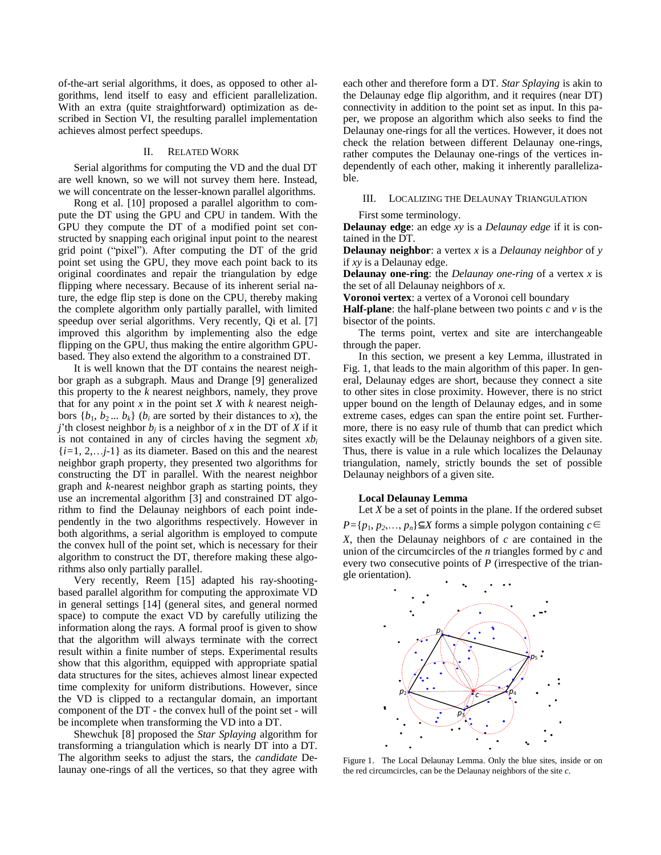of-the-art serial algorithms, it does, as opposed to other algorithms, lend itself to easy and efficient parallelization. With an extra (quite straightforward) optimization as described in Section VI, the resulting parallel implementation achieves almost perfect speedups.

## II. RELATED WORK

Serial algorithms for computing the VD and the dual DT are well known, so we will not survey them here. Instead, we will concentrate on the lesser-known parallel algorithms.

Rong et al. [10] proposed a parallel algorithm to compute the DT using the GPU and CPU in tandem. With the GPU they compute the DT of a modified point set constructed by snapping each original input point to the nearest grid point ("pixel"). After computing the DT of the grid point set using the GPU, they move each point back to its original coordinates and repair the triangulation by edge flipping where necessary. Because of its inherent serial nature, the edge flip step is done on the CPU, thereby making the complete algorithm only partially parallel, with limited speedup over serial algorithms. Very recently, Qi et al. [7] improved this algorithm by implementing also the edge flipping on the GPU, thus making the entire algorithm GPUbased. They also extend the algorithm to a constrained DT.

It is well known that the DT contains the nearest neighbor graph as a subgraph. Maus and Drange [9] generalized this property to the *k* nearest neighbors, namely, they prove that for any point  $x$  in the point set  $X$  with  $k$  nearest neighbors  $\{b_1, b_2, \ldots, b_k\}$  (*b<sub>i</sub>* are sorted by their distances to *x*), the *j*'th closest neighbor  $b_j$  is a neighbor of *x* in the DT of *X* if it is not contained in any of circles having the segment *xb<sup>i</sup>* {*i=*1, 2,…*j*-1} as its diameter. Based on this and the nearest neighbor graph property, they presented two algorithms for constructing the DT in parallel. With the nearest neighbor graph and *k*-nearest neighbor graph as starting points, they use an incremental algorithm [3] and constrained DT algorithm to find the Delaunay neighbors of each point independently in the two algorithms respectively. However in both algorithms, a serial algorithm is employed to compute the convex hull of the point set, which is necessary for their algorithm to construct the DT, therefore making these algorithms also only partially parallel.

Very recently, Reem [15] adapted his ray-shootingbased parallel algorithm for computing the approximate VD in general settings [14] (general sites, and general normed space) to compute the exact VD by carefully utilizing the information along the rays. A formal proof is given to show that the algorithm will always terminate with the correct result within a finite number of steps. Experimental results show that this algorithm, equipped with appropriate spatial data structures for the sites, achieves almost linear expected time complexity for uniform distributions. However, since the VD is clipped to a rectangular domain, an important component of the DT - the convex hull of the point set - will be incomplete when transforming the VD into a DT.

Shewchuk [8] proposed the *Star Splaying* algorithm for transforming a triangulation which is nearly DT into a DT. The algorithm seeks to adjust the stars, the *candidate* Delaunay one-rings of all the vertices, so that they agree with each other and therefore form a DT. *Star Splaying* is akin to the Delaunay edge flip algorithm, and it requires (near DT) connectivity in addition to the point set as input. In this paper, we propose an algorithm which also seeks to find the Delaunay one-rings for all the vertices. However, it does not check the relation between different Delaunay one-rings, rather computes the Delaunay one-rings of the vertices independently of each other, making it inherently parallelizable.

## III. LOCALIZING THE DELAUNAY TRIANGULATION

First some terminology.

**Delaunay edge**: an edge *xy* is a *Delaunay edge* if it is contained in the DT.

**Delaunay neighbor**: a vertex *x* is a *Delaunay neighbor* of *y* if *xy* is a Delaunay edge.

**Delaunay one-ring**: the *Delaunay one-ring* of a vertex *x* is the set of all Delaunay neighbors of *x*.

**Voronoi vertex**: a vertex of a Voronoi cell boundary

**Half-plane**: the half-plane between two points  $c$  and  $v$  is the bisector of the points.

The terms point, vertex and site are interchangeable through the paper.

In this section, we present a key Lemma, illustrated in Fig. 1, that leads to the main algorithm of this paper. In general, Delaunay edges are short, because they connect a site to other sites in close proximity. However, there is no strict upper bound on the length of Delaunay edges, and in some extreme cases, edges can span the entire point set. Furthermore, there is no easy rule of thumb that can predict which sites exactly will be the Delaunay neighbors of a given site. Thus, there is value in a rule which localizes the Delaunay triangulation, namely, strictly bounds the set of possible Delaunay neighbors of a given site.

## **Local Delaunay Lemma**

Let  $X$  be a set of points in the plane. If the ordered subset *P*={ $p_1, p_2, \ldots, p_n$ }⊆*X* forms a simple polygon containing  $c \in$ *X*, then the Delaunay neighbors of *c* are contained in the union of the circumcircles of the *n* triangles formed by *c* and every two consecutive points of *P* (irrespective of the triangle orientation).



Figure 1. The Local Delaunay Lemma. Only the blue sites, inside or on the red circumcircles, can be the Delaunay neighbors of the site *c*.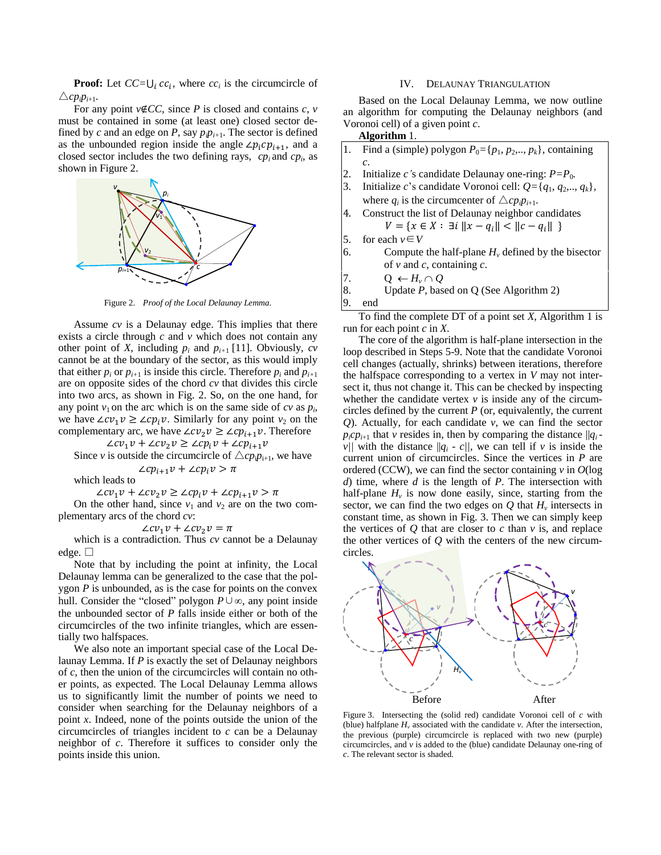**Proof:** Let  $CC = \bigcup_i CC_i$ , where  $cc_i$  is the circumcircle of  $\triangle$ *c* $p_i$  $p_{i+1}$ .

For any point  $v \notin CC$ , since *P* is closed and contains *c*, *v* must be contained in some (at least one) closed sector defined by *c* and an edge on *P*, say  $p_i p_{i+1}$ . The sector is defined as the unbounded region inside the angle  $\angle p_i cp_{i+1}$ , and a closed sector includes the two defining rays,  $cp<sub>i</sub>$  and  $cp<sub>i</sub>$ , as shown in Figure 2.



Figure 2. *Proof of the Local Delaunay Lemma.*

Assume *cv* is a Delaunay edge. This implies that there exists a circle through *c* and *v* which does not contain any other point of *X*, including  $p_i$  and  $p_{i+1}$  [11]. Obviously, *cv* cannot be at the boundary of the sector, as this would imply that either  $p_i$  or  $p_{i+1}$  is inside this circle. Therefore  $p_i$  and  $p_{i+1}$ are on opposite sides of the chord *cv* that divides this circle into two arcs, as shown in Fig. 2. So, on the one hand, for any point  $v_1$  on the arc which is on the same side of  $cv$  as  $p_i$ , we have  $\angle cv_1v \geq \angle cp_iv$ . Similarly for any point  $v_2$  on the complementary arc, we have  $\angle cv_2v \geq \angle cp_{i+1}v$ . Therefore

 $\angle cv_1v + \angle cv_2v \geq \angle cp_iv + \angle cp_{i+1}v$ 

Since *v* is outside the circumcircle of  $\triangle cp_i p_{i+1}$ , we have  $\angle cp_{i+1}v + \angle cp_iv > \pi$ 

which leads to

 $\angle cv_1v + \angle cv_2v \geq \angle cp_iv + \angle cp_{i+1}v > \pi$ 

On the other hand, since  $v_1$  and  $v_2$  are on the two complementary arcs of the chord *cv*:

 $\angle cv_1v + \angle cv_2v = \pi$ 

which is a contradiction. Thus *cv* cannot be a Delaunay edge. □

Note that by including the point at infinity, the Local Delaunay lemma can be generalized to the case that the polygon *P* is unbounded, as is the case for points on the convex hull. Consider the "closed" polygon *P*∪∞, any point inside the unbounded sector of *P* falls inside either or both of the circumcircles of the two infinite triangles, which are essentially two halfspaces.

We also note an important special case of the Local Delaunay Lemma. If *P* is exactly the set of Delaunay neighbors of *c*, then the union of the circumcircles will contain no other points, as expected. The Local Delaunay Lemma allows us to significantly limit the number of points we need to consider when searching for the Delaunay neighbors of a point *x*. Indeed, none of the points outside the union of the circumcircles of triangles incident to *c* can be a Delaunay neighbor of *c*. Therefore it suffices to consider only the points inside this union.

# IV. DELAUNAY TRIANGULATION

Based on the Local Delaunay Lemma, we now outline an algorithm for computing the Delaunay neighbors (and Voronoi cell) of a given point *c*.

**Algorithm** 1.

- 1. Find a (simple) polygon  $P_0 = \{p_1, p_2, \ldots, p_k\}$ , containing *c*.
- 2. Initialize *c*'s candidate Delaunay one-ring:  $P = P_0$ .
- 3. Initialize *c*'s candidate Voronoi cell:  $Q = \{q_1, q_2, \ldots, q_k\},\$ where  $q_i$  is the circumcenter of  $\triangle cp_i p_{i+1}$ .
- 4. Construct the list of Delaunay neighbor candidates  $V = \{x \in X : \exists i ||x - q_i|| < ||c - q_i|| \}$
- 5. for each  $v \in V$
- 6. Compute the half-plane  $H_\nu$  defined by the bisector of *v* and *c*, containing *c*.
- 7.  $Q \leftarrow H_v \cap Q$

8. Update 
$$
P
$$
, based on  $Q$  (See Algorithm 2)

9. end

To find the complete DT of a point set *X*, Algorithm 1 is run for each point *c* in *X*.

The core of the algorithm is half-plane intersection in the loop described in Steps 5-9. Note that the candidate Voronoi cell changes (actually, shrinks) between iterations, therefore the halfspace corresponding to a vertex in *V* may not intersect it, thus not change it. This can be checked by inspecting whether the candidate vertex  $v$  is inside any of the circumcircles defined by the current *P* (or, equivalently, the current *Q*). Actually, for each candidate *v*, we can find the sector  $p_i c p_{i+1}$  that *v* resides in, then by comparing the distance  $||q_i$ *v*// with the distance  $||q_i - c||$ , we can tell if *v* is inside the current union of circumcircles. Since the vertices in *P* are ordered (CCW), we can find the sector containing *v* in *O*(log *d*) time, where *d* is the length of *P*. The intersection with half-plane  $H<sub>v</sub>$  is now done easily, since, starting from the sector, we can find the two edges on  $Q$  that  $H<sub>v</sub>$  intersects in constant time, as shown in Fig. 3. Then we can simply keep the vertices of *Q* that are closer to *c* than *v* is, and replace the other vertices of *Q* with the centers of the new circumcircles.



Figure 3. Intersecting the (solid red) candidate Voronoi cell of *c* with (blue) halfplane  $H_\nu$  associated with the candidate  $\nu$ . After the intersection, the previous (purple) circumcircle is replaced with two new (purple) circumcircles, and *v* is added to the (blue) candidate Delaunay one-ring of *c*. The relevant sector is shaded.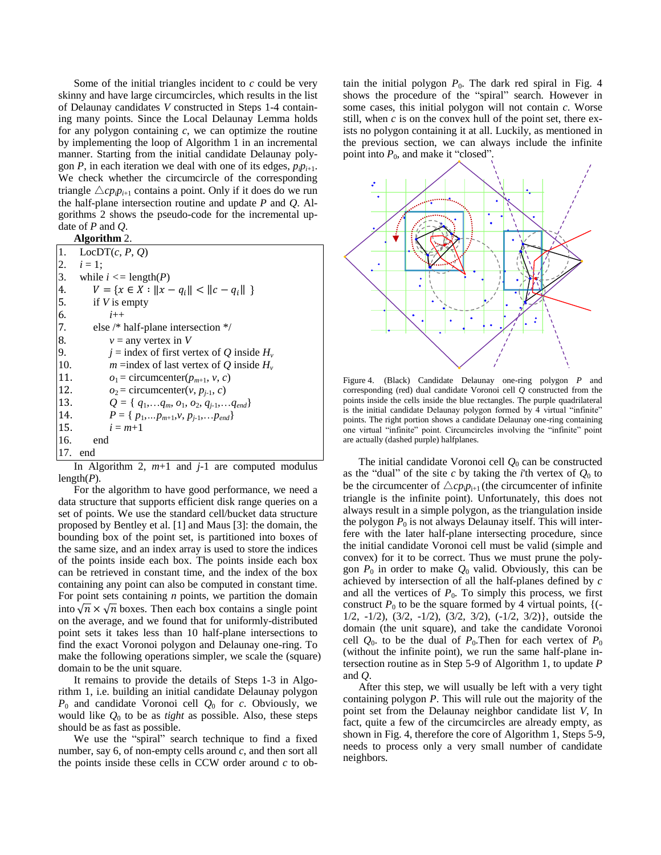Some of the initial triangles incident to *c* could be very skinny and have large circumcircles, which results in the list of Delaunay candidates *V* constructed in Steps 1-4 containing many points. Since the Local Delaunay Lemma holds for any polygon containing *c*, we can optimize the routine by implementing the loop of Algorithm 1 in an incremental manner. Starting from the initial candidate Delaunay polygon *P*, in each iteration we deal with one of its edges,  $p_i p_{i+1}$ . We check whether the circumcircle of the corresponding triangle  $\triangle cp_i p_{i+1}$  contains a point. Only if it does do we run the half-plane intersection routine and update *P* and *Q*. Algorithms 2 shows the pseudo-code for the incremental update of *P* and *Q*.

**Algorithm** 2.

1. LocDT(*c*, *P*, *Q*) 2.  $i = 1$ ; 3. while  $i \leq$  length(*P*) 4.  $V = \{x \in X : ||x - q_i|| < ||c - q_i|| \}$ 5. if *V* is empty 6. *i*++ 7. else /\* half-plane intersection \*/ 8.  $v = \text{any vertex in } V$ 9.  $j = \text{index of first vertex of } Q \text{ inside } H$ <sub>*v*</sub> 10. *m* = index of last vertex of *Q* inside  $H_v$ 11.  $o_1 =$  circumcenter( $p_{m+1}$ ,  $v$ ,  $c$ ) 12.  $o_2 =$  circumcenter(*v*, *p*<sub>*j*-1</sub>, *c*)<br>13.  $Q = \{q_1, \ldots q_m, o_1, o_2, q_{i-1}, \ldots\}$  $Q = \{q_1, \ldots, q_m, o_1, o_2, q_{j\text{-}1}, \ldots, q_{end}\}$ 14.  $P = \{ p_1, \ldots, p_{m+1}, v, p_{j-1}, \ldots, p_{end} \}$ 15.  $i = m+1$ 16. end 17. end

In Algorithm 2,  $m+1$  and  $j-1$  are computed modulus length(*P*).

For the algorithm to have good performance, we need a data structure that supports efficient disk range queries on a set of points. We use the standard cell/bucket data structure proposed by Bentley et al. [1] and Maus [3]: the domain, the bounding box of the point set, is partitioned into boxes of the same size, and an index array is used to store the indices of the points inside each box. The points inside each box can be retrieved in constant time, and the index of the box containing any point can also be computed in constant time. For point sets containing *n* points, we partition the domain into  $\sqrt{n} \times \sqrt{n}$  boxes. Then each box contains a single point on the average, and we found that for uniformly-distributed point sets it takes less than 10 half-plane intersections to find the exact Voronoi polygon and Delaunay one-ring. To make the following operations simpler, we scale the (square) domain to be the unit square.

It remains to provide the details of Steps 1-3 in Algorithm 1, i.e. building an initial candidate Delaunay polygon  $P_0$  and candidate Voronoi cell  $Q_0$  for *c*. Obviously, we would like *Q*<sup>0</sup> to be as *tight* as possible. Also, these steps should be as fast as possible.

We use the "spiral" search technique to find a fixed number, say 6, of non-empty cells around *c*, and then sort all the points inside these cells in CCW order around *c* to obtain the initial polygon  $P_0$ . The dark red spiral in Fig. 4 shows the procedure of the "spiral" search. However in some cases, this initial polygon will not contain *c*. Worse still, when *c* is on the convex hull of the point set, there exists no polygon containing it at all. Luckily, as mentioned in the previous section, we can always include the infinite point into  $P_0$ , and make it "closed".



Figure 4. (Black) Candidate Delaunay one-ring polygon *P* and corresponding (red) dual candidate Voronoi cell *Q* constructed from the points inside the cells inside the blue rectangles. The purple quadrilateral is the initial candidate Delaunay polygon formed by 4 virtual "infinite" points. The right portion shows a candidate Delaunay one-ring containing one virtual "infinite" point. Circumcircles involving the "infinite" point are actually (dashed purple) halfplanes.

The initial candidate Voronoi cell *Q*<sup>0</sup> can be constructed as the "dual" of the site  $c$  by taking the *i*'th vertex of  $Q_0$  to be the circumcenter of  $\triangle cp_i p_{i+1}$  (the circumcenter of infinite triangle is the infinite point). Unfortunately, this does not always result in a simple polygon, as the triangulation inside the polygon  $P_0$  is not always Delaunay itself. This will interfere with the later half-plane intersecting procedure, since the initial candidate Voronoi cell must be valid (simple and convex) for it to be correct. Thus we must prune the polygon  $P_0$  in order to make  $Q_0$  valid. Obviously, this can be achieved by intersection of all the half-planes defined by *c* and all the vertices of  $P_0$ . To simply this process, we first construct  $P_0$  to be the square formed by 4 virtual points, { $(-$ 1/2, -1/2), (3/2, -1/2), (3/2, 3/2), (-1/2, 3/2)}, outside the domain (the unit square), and take the candidate Voronoi cell  $Q_0$  to be the dual of  $P_0$ . Then for each vertex of  $P_0$ (without the infinite point), we run the same half-plane intersection routine as in Step 5-9 of Algorithm 1, to update *P* and *Q*.

After this step, we will usually be left with a very tight containing polygon *P*. This will rule out the majority of the point set from the Delaunay neighbor candidate list *V*, In fact, quite a few of the circumcircles are already empty, as shown in Fig. 4, therefore the core of Algorithm 1, Steps 5-9, needs to process only a very small number of candidate neighbors.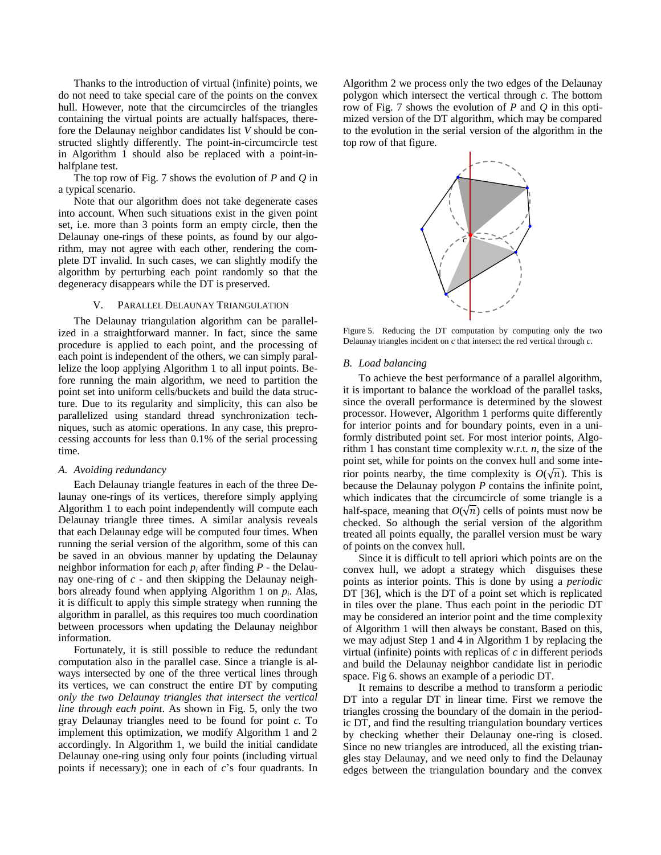Thanks to the introduction of virtual (infinite) points, we do not need to take special care of the points on the convex hull. However, note that the circumcircles of the triangles containing the virtual points are actually halfspaces, therefore the Delaunay neighbor candidates list *V* should be constructed slightly differently. The point-in-circumcircle test in Algorithm 1 should also be replaced with a point-inhalfplane test.

The top row of Fig. 7 shows the evolution of *P* and *Q* in a typical scenario.

Note that our algorithm does not take degenerate cases into account. When such situations exist in the given point set, i.e. more than 3 points form an empty circle, then the Delaunay one-rings of these points, as found by our algorithm, may not agree with each other, rendering the complete DT invalid. In such cases, we can slightly modify the algorithm by perturbing each point randomly so that the degeneracy disappears while the DT is preserved.

# V. PARALLEL DELAUNAY TRIANGULATION

The Delaunay triangulation algorithm can be parallelized in a straightforward manner. In fact, since the same procedure is applied to each point, and the processing of each point is independent of the others, we can simply parallelize the loop applying Algorithm 1 to all input points. Before running the main algorithm, we need to partition the point set into uniform cells/buckets and build the data structure. Due to its regularity and simplicity, this can also be parallelized using standard thread synchronization techniques, such as atomic operations. In any case, this preprocessing accounts for less than 0.1% of the serial processing time.

# *A. Avoiding redundancy*

Each Delaunay triangle features in each of the three Delaunay one-rings of its vertices, therefore simply applying Algorithm 1 to each point independently will compute each Delaunay triangle three times. A similar analysis reveals that each Delaunay edge will be computed four times. When running the serial version of the algorithm, some of this can be saved in an obvious manner by updating the Delaunay neighbor information for each  $p_i$  after finding  $P$  - the Delaunay one-ring of *c* - and then skipping the Delaunay neighbors already found when applying Algorithm 1 on *p<sup>i</sup>* . Alas, it is difficult to apply this simple strategy when running the algorithm in parallel, as this requires too much coordination between processors when updating the Delaunay neighbor information.

Fortunately, it is still possible to reduce the redundant computation also in the parallel case. Since a triangle is always intersected by one of the three vertical lines through its vertices, we can construct the entire DT by computing *only the two Delaunay triangles that intersect the vertical line through each point*. As shown in Fig. 5, only the two gray Delaunay triangles need to be found for point *c*. To implement this optimization, we modify Algorithm 1 and 2 accordingly. In Algorithm 1, we build the initial candidate Delaunay one-ring using only four points (including virtual points if necessary); one in each of *c*'s four quadrants. In Algorithm 2 we process only the two edges of the Delaunay polygon which intersect the vertical through *c*. The bottom row of Fig. 7 shows the evolution of *P* and *Q* in this optimized version of the DT algorithm, which may be compared to the evolution in the serial version of the algorithm in the top row of that figure.



Figure 5. Reducing the DT computation by computing only the two Delaunay triangles incident on *c* that intersect the red vertical through *c*.

#### *B. Load balancing*

To achieve the best performance of a parallel algorithm, it is important to balance the workload of the parallel tasks, since the overall performance is determined by the slowest processor. However, Algorithm 1 performs quite differently for interior points and for boundary points, even in a uniformly distributed point set. For most interior points, Algorithm 1 has constant time complexity w.r.t. *n*, the size of the point set, while for points on the convex hull and some interior points nearby, the time complexity is  $O(\sqrt{n})$ . This is because the Delaunay polygon *P* contains the infinite point, which indicates that the circumcircle of some triangle is a half-space, meaning that  $O(\sqrt{n})$  cells of points must now be checked. So although the serial version of the algorithm treated all points equally, the parallel version must be wary of points on the convex hull.

Since it is difficult to tell apriori which points are on the convex hull, we adopt a strategy which disguises these points as interior points. This is done by using a *periodic* DT [36], which is the DT of a point set which is replicated in tiles over the plane. Thus each point in the periodic DT may be considered an interior point and the time complexity of Algorithm 1 will then always be constant. Based on this, we may adjust Step 1 and 4 in Algorithm 1 by replacing the virtual (infinite) points with replicas of *c* in different periods and build the Delaunay neighbor candidate list in periodic space. Fig 6. shows an example of a periodic DT.

It remains to describe a method to transform a periodic DT into a regular DT in linear time. First we remove the triangles crossing the boundary of the domain in the periodic DT, and find the resulting triangulation boundary vertices by checking whether their Delaunay one-ring is closed. Since no new triangles are introduced, all the existing triangles stay Delaunay, and we need only to find the Delaunay edges between the triangulation boundary and the convex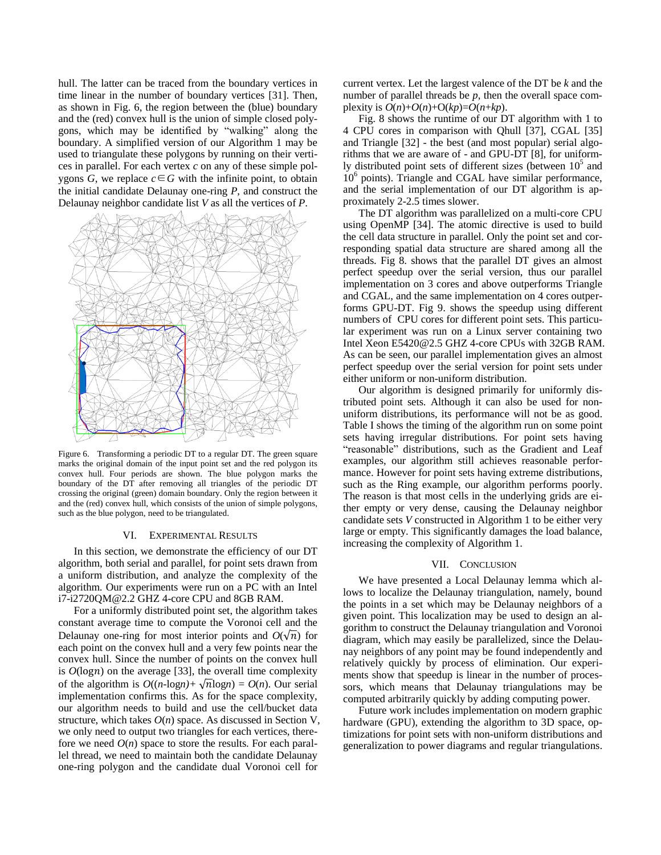hull. The latter can be traced from the boundary vertices in time linear in the number of boundary vertices [31]. Then, as shown in Fig. 6, the region between the (blue) boundary and the (red) convex hull is the union of simple closed polygons, which may be identified by "walking" along the boundary. A simplified version of our Algorithm 1 may be used to triangulate these polygons by running on their vertices in parallel. For each vertex *c* on any of these simple polygons *G*, we replace  $c \in G$  with the infinite point, to obtain the initial candidate Delaunay one-ring *P*, and construct the Delaunay neighbor candidate list *V* as all the vertices of *P*.



Figure 6. Transforming a periodic DT to a regular DT. The green square marks the original domain of the input point set and the red polygon its convex hull. Four periods are shown. The blue polygon marks the boundary of the DT after removing all triangles of the periodic DT crossing the original (green) domain boundary. Only the region between it and the (red) convex hull, which consists of the union of simple polygons, such as the blue polygon, need to be triangulated.

# VI. EXPERIMENTAL RESULTS

In this section, we demonstrate the efficiency of our DT algorithm, both serial and parallel, for point sets drawn from a uniform distribution, and analyze the complexity of the algorithm. Our experiments were run on a PC with an Intel i7-i2720QM@2.2 GHZ 4-core CPU and 8GB RAM.

For a uniformly distributed point set, the algorithm takes constant average time to compute the Voronoi cell and the Delaunay one-ring for most interior points and  $O(\sqrt{n})$  for each point on the convex hull and a very few points near the convex hull. Since the number of points on the convex hull is  $O(log n)$  on the average [33], the overall time complexity of the algorithm is  $O((n-\log n)+\sqrt{n}\log n) = O(n)$ . Our serial implementation confirms this. As for the space complexity, our algorithm needs to build and use the cell/bucket data structure, which takes  $O(n)$  space. As discussed in Section V, we only need to output two triangles for each vertices, therefore we need  $O(n)$  space to store the results. For each parallel thread, we need to maintain both the candidate Delaunay one-ring polygon and the candidate dual Voronoi cell for

current vertex. Let the largest valence of the DT be *k* and the number of parallel threads be *p*, then the overall space complexity is  $O(n)+O(n)+O(kp)=O(n+kp)$ .

Fig. 8 shows the runtime of our DT algorithm with 1 to 4 CPU cores in comparison with Qhull [37], CGAL [35] and Triangle [32] - the best (and most popular) serial algorithms that we are aware of - and GPU-DT [8], for uniformly distributed point sets of different sizes (between  $10<sup>5</sup>$  and 10<sup>6</sup> points). Triangle and CGAL have similar performance, and the serial implementation of our DT algorithm is approximately 2-2.5 times slower.

The DT algorithm was parallelized on a multi-core CPU using OpenMP [34]. The atomic directive is used to build the cell data structure in parallel. Only the point set and corresponding spatial data structure are shared among all the threads. Fig 8. shows that the parallel DT gives an almost perfect speedup over the serial version, thus our parallel implementation on 3 cores and above outperforms Triangle and CGAL, and the same implementation on 4 cores outperforms GPU-DT. Fig 9. shows the speedup using different numbers of CPU cores for different point sets. This particular experiment was run on a Linux server containing two Intel Xeon E5420@2.5 GHZ 4-core CPUs with 32GB RAM. As can be seen, our parallel implementation gives an almost perfect speedup over the serial version for point sets under either uniform or non-uniform distribution.

Our algorithm is designed primarily for uniformly distributed point sets. Although it can also be used for nonuniform distributions, its performance will not be as good. Table I shows the timing of the algorithm run on some point sets having irregular distributions. For point sets having "reasonable" distributions, such as the Gradient and Leaf examples, our algorithm still achieves reasonable performance. However for point sets having extreme distributions, such as the Ring example, our algorithm performs poorly. The reason is that most cells in the underlying grids are either empty or very dense, causing the Delaunay neighbor candidate sets *V* constructed in Algorithm 1 to be either very large or empty. This significantly damages the load balance, increasing the complexity of Algorithm 1.

## VII. CONCLUSION

We have presented a Local Delaunay lemma which allows to localize the Delaunay triangulation, namely, bound the points in a set which may be Delaunay neighbors of a given point. This localization may be used to design an algorithm to construct the Delaunay triangulation and Voronoi diagram, which may easily be parallelized, since the Delaunay neighbors of any point may be found independently and relatively quickly by process of elimination. Our experiments show that speedup is linear in the number of processors, which means that Delaunay triangulations may be computed arbitrarily quickly by adding computing power.

Future work includes implementation on modern graphic hardware (GPU), extending the algorithm to 3D space, optimizations for point sets with non-uniform distributions and generalization to power diagrams and regular triangulations.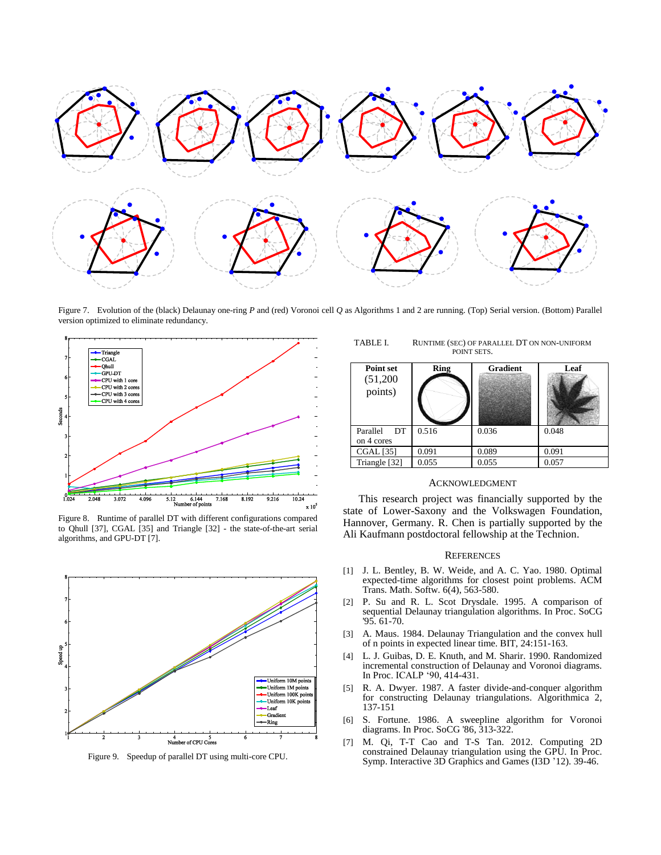

Figure 7. Evolution of the (black) Delaunay one-ring *P* and (red) Voronoi cell *Q* as Algorithms 1 and 2 are running. (Top) Serial version. (Bottom) Parallel version optimized to eliminate redundancy.



Figure 8. Runtime of parallel DT with different configurations compared to Qhull [37], CGAL [35] and Triangle [32] - the state-of-the-art serial algorithms, and GPU-DT [7].



Figure 9. Speedup of parallel DT using multi-core CPU.

TABLE I. RUNTIME (SEC) OF PARALLEL DT ON NON-UNIFORM POINT SETS.

| <b>Point set</b><br>(51,200)<br>points) | Ring  | <b>Gradient</b> | Leaf  |
|-----------------------------------------|-------|-----------------|-------|
| Parallel<br>DT<br>on 4 cores            | 0.516 | 0.036           | 0.048 |
| <b>CGAL</b> [35]                        | 0.091 | 0.089           | 0.091 |
| Triangle [32]                           | 0.055 | 0.055           | 0.057 |

#### ACKNOWLEDGMENT

This research project was financially supported by the state of Lower-Saxony and the Volkswagen Foundation, Hannover, Germany. R. Chen is partially supported by the Ali Kaufmann postdoctoral fellowship at the Technion.

#### **REFERENCES**

- [1] J. L. Bentley, B. W. Weide, and A. C. Yao. 1980. Optimal expected-time algorithms for closest point problems. ACM Trans. Math. Softw. 6(4), 563-580.
- [2] P. Su and R. L. Scot Drysdale. 1995. A comparison of sequential Delaunay triangulation algorithms. In Proc. SoCG '95. 61-70.
- [3] A. Maus. 1984. Delaunay Triangulation and the convex hull of n points in expected linear time. BIT, 24:151-163.
- [4] L. J. Guibas, D. E. Knuth, and M. Sharir. 1990. Randomized incremental construction of Delaunay and Voronoi diagrams. In Proc. ICALP '90, 414-431.
- [5] R. A. Dwyer. 1987. A faster divide-and-conquer algorithm for constructing Delaunay triangulations. Algorithmica 2, 137-151
- [6] S. Fortune. 1986. A sweepline algorithm for Voronoi diagrams. In Proc. SoCG '86, 313-322.
- [7] M. Qi, T-T Cao and T-S Tan. 2012. Computing 2D constrained Delaunay triangulation using the GPU. In Proc. Symp. Interactive 3D Graphics and Games (I3D '12). 39-46.